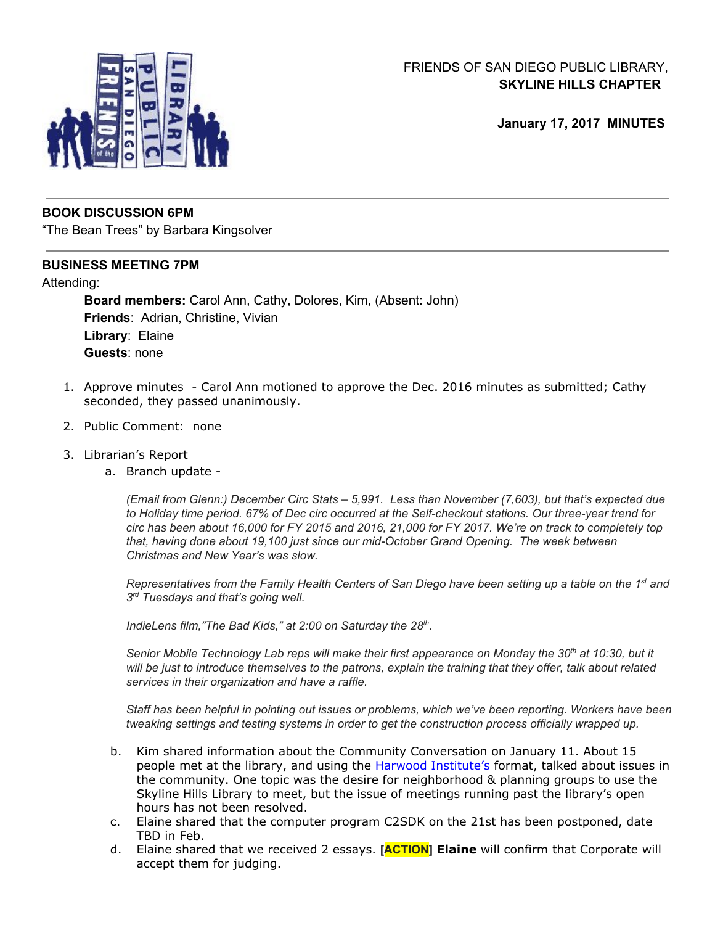

# FRIENDS OF SAN DIEGO PUBLIC LIBRARY, **SKYLINE HILLS CHAPTER**

**January 17, 2017 MINUTES**

### **BOOK DISCUSSION 6PM**

"The Bean Trees" by Barbara Kingsolver

### **BUSINESS MEETING 7PM**

#### Attending:

**Board members:** Carol Ann, Cathy, Dolores, Kim, (Absent: John) **Friends**: Adrian, Christine, Vivian **Library**: Elaine **Guests**: none

- 1. Approve minutes Carol Ann motioned to approve the Dec. 2016 minutes as submitted; Cathy seconded, they passed unanimously.
- 2. Public Comment: none
- 3. Librarian's Report
	- a. Branch update -

*(Email from Glenn:) December Circ Stats – 5,991. Less than November (7,603), but that's expected due to Holiday time period. 67% of Dec circ occurred at the Self-checkout stations. Our three-year trend for* circ has been about 16,000 for FY 2015 and 2016, 21,000 for FY 2017. We're on track to completely top *that, having done about 19,100 just since our mid-October Grand Opening. The week between Christmas and New Year's was slow.*

Representatives from the Family Health Centers of San Diego have been setting up a table on the 1<sup>st</sup> and *3 rd Tuesdays and that's going well.*

*IndieLens film,"The Bad Kids," at 2:00 on Saturday the 28 th .*

Senior Mobile Technology Lab reps will make their first appearance on Monday the 30th at 10:30, but it will be just to introduce themselves to the patrons, explain the training that they offer, talk about related *services in their organization and have a raffle.*

*Staff has been helpful in pointing out issues or problems, which we've been reporting. Workers have been tweaking settings and testing systems in order to get the construction process officially wrapped up.*

- b. Kim shared information about the Community Conversation on January 11. About 15 people met at the library, and using the **Harwood [Institute's](http://www.unitedway-wa.org/members/wp-content/uploads/2013/04/CommunityConversationKit1.pdf)** format, talked about issues in the community. One topic was the desire for neighborhood & planning groups to use the Skyline Hills Library to meet, but the issue of meetings running past the library's open hours has not been resolved.
- c. Elaine shared that the computer program C2SDK on the 21st has been postponed, date TBD in Feb.
- d. Elaine shared that we received 2 essays. **[ACTION] Elaine** will confirm that Corporate will accept them for judging.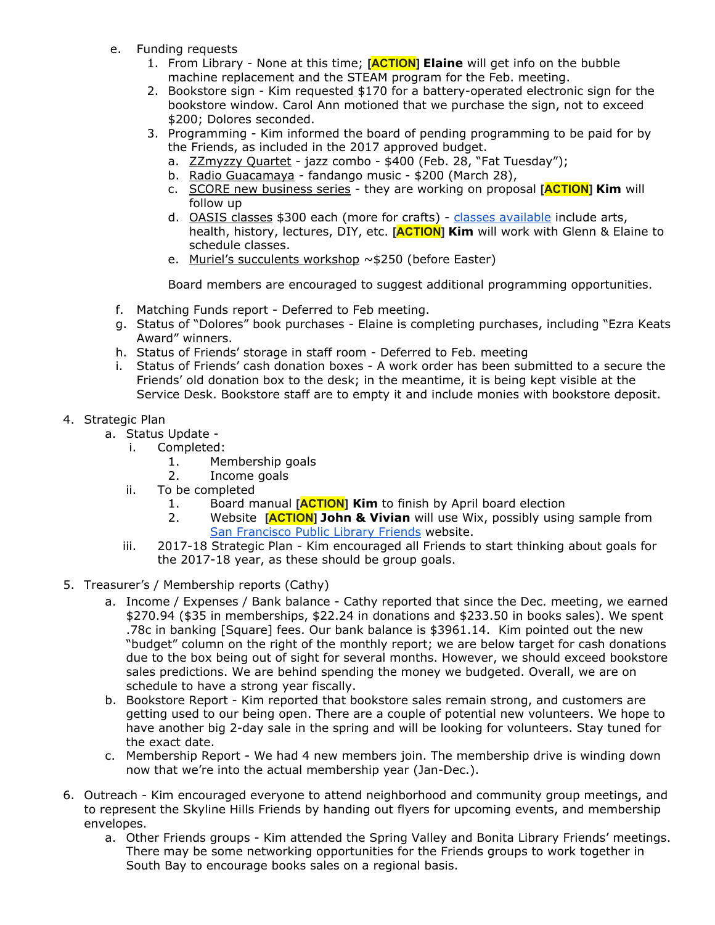- e. Funding requests
	- 1. From Library None at this time; **[ACTION] Elaine** will get info on the bubble machine replacement and the STEAM program for the Feb. meeting.
	- 2. Bookstore sign Kim requested \$170 for a battery-operated electronic sign for the bookstore window. Carol Ann motioned that we purchase the sign, not to exceed \$200; Dolores seconded.
	- 3. Programming Kim informed the board of pending programming to be paid for by the Friends, as included in the 2017 approved budget.
		- a. ZZmyzzy Quartet jazz combo \$400 (Feb. 28, "Fat Tuesday");
		- b. Radio Guacamaya fandango music \$200 (March 28),
		- c. SCORE new business series they are working on proposal **[ACTION] Kim** will follow up
		- d. **OASIS classes** \$300 each (more for crafts) classes [available](https://www.oasisnet.org/San-Diego-CA/Classes) include arts, health, history, lectures, DIY, etc. **[ACTION] Kim** will work with Glenn & Elaine to schedule classes.
		- e. Muriel's succulents workshop ~\$250 (before Easter)

Board members are encouraged to suggest additional programming opportunities.

- f. Matching Funds report Deferred to Feb meeting.
- g. Status of "Dolores" book purchases Elaine is completing purchases, including "Ezra Keats Award" winners.
- h. Status of Friends' storage in staff room Deferred to Feb. meeting
- i. Status of Friends' cash donation boxes A work order has been submitted to a secure the Friends' old donation box to the desk; in the meantime, it is being kept visible at the Service Desk. Bookstore staff are to empty it and include monies with bookstore deposit.
- 4. Strategic Plan
	- a. Status Update
		- i. Completed:
			- 1. Membership goals
			- 2. Income goals
		- ii. To be completed
			- 1. Board manual **[ACTION] Kim** to finish by April board election
			- 2. Website **[ACTION] John & Vivian** will use Wix, possibly using sample from San [Francisco](http://www.friendssfpl.org/) Public Library Friends website.
		- iii. 2017-18 Strategic Plan Kim encouraged all Friends to start thinking about goals for the 2017-18 year, as these should be group goals.
- 5. Treasurer's / Membership reports (Cathy)
	- a. Income / Expenses / Bank balance Cathy reported that since the Dec. meeting, we earned \$270.94 (\$35 in memberships, \$22.24 in donations and \$233.50 in books sales). We spent .78c in banking [Square] fees. Our bank balance is \$3961.14. Kim pointed out the new "budget" column on the right of the monthly report; we are below target for cash donations due to the box being out of sight for several months. However, we should exceed bookstore sales predictions. We are behind spending the money we budgeted. Overall, we are on schedule to have a strong year fiscally.
	- b. Bookstore Report Kim reported that bookstore sales remain strong, and customers are getting used to our being open. There are a couple of potential new volunteers. We hope to have another big 2-day sale in the spring and will be looking for volunteers. Stay tuned for the exact date.
	- c. Membership Report We had 4 new members join. The membership drive is winding down now that we're into the actual membership year (Jan-Dec.).
- 6. Outreach Kim encouraged everyone to attend neighborhood and community group meetings, and to represent the Skyline Hills Friends by handing out flyers for upcoming events, and membership envelopes.
	- a. Other Friends groups Kim attended the Spring Valley and Bonita Library Friends' meetings. There may be some networking opportunities for the Friends groups to work together in South Bay to encourage books sales on a regional basis.